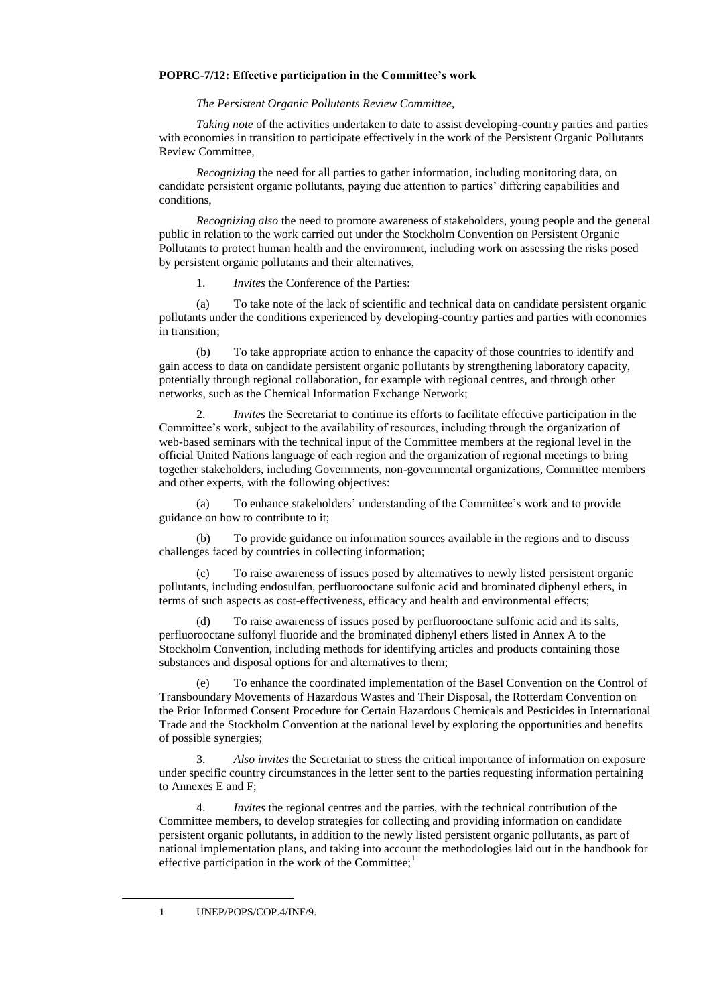## **POPRC-7/12: Effective participation in the Committee's work**

*The Persistent Organic Pollutants Review Committee,*

*Taking note* of the activities undertaken to date to assist developing-country parties and parties with economies in transition to participate effectively in the work of the Persistent Organic Pollutants Review Committee,

*Recognizing* the need for all parties to gather information, including monitoring data, on candidate persistent organic pollutants, paying due attention to parties' differing capabilities and conditions,

*Recognizing also* the need to promote awareness of stakeholders, young people and the general public in relation to the work carried out under the Stockholm Convention on Persistent Organic Pollutants to protect human health and the environment, including work on assessing the risks posed by persistent organic pollutants and their alternatives,

1. *Invites* the Conference of the Parties:

(a) To take note of the lack of scientific and technical data on candidate persistent organic pollutants under the conditions experienced by developing-country parties and parties with economies in transition;

(b) To take appropriate action to enhance the capacity of those countries to identify and gain access to data on candidate persistent organic pollutants by strengthening laboratory capacity, potentially through regional collaboration, for example with regional centres, and through other networks, such as the Chemical Information Exchange Network;

2. *Invites* the Secretariat to continue its efforts to facilitate effective participation in the Committee's work, subject to the availability of resources, including through the organization of web-based seminars with the technical input of the Committee members at the regional level in the official United Nations language of each region and the organization of regional meetings to bring together stakeholders, including Governments, non-governmental organizations, Committee members and other experts, with the following objectives:

(a) To enhance stakeholders' understanding of the Committee's work and to provide guidance on how to contribute to it;

(b) To provide guidance on information sources available in the regions and to discuss challenges faced by countries in collecting information;

(c) To raise awareness of issues posed by alternatives to newly listed persistent organic pollutants, including endosulfan, perfluorooctane sulfonic acid and brominated diphenyl ethers, in terms of such aspects as cost-effectiveness, efficacy and health and environmental effects;

(d) To raise awareness of issues posed by perfluorooctane sulfonic acid and its salts, perfluorooctane sulfonyl fluoride and the brominated diphenyl ethers listed in Annex A to the Stockholm Convention, including methods for identifying articles and products containing those substances and disposal options for and alternatives to them;

(e) To enhance the coordinated implementation of the Basel Convention on the Control of Transboundary Movements of Hazardous Wastes and Their Disposal, the Rotterdam Convention on the Prior Informed Consent Procedure for Certain Hazardous Chemicals and Pesticides in International Trade and the Stockholm Convention at the national level by exploring the opportunities and benefits of possible synergies;

3. *Also invites* the Secretariat to stress the critical importance of information on exposure under specific country circumstances in the letter sent to the parties requesting information pertaining to Annexes E and F;

4. *Invites* the regional centres and the parties, with the technical contribution of the Committee members, to develop strategies for collecting and providing information on candidate persistent organic pollutants, in addition to the newly listed persistent organic pollutants, as part of national implementation plans, and taking into account the methodologies laid out in the handbook for effective participation in the work of the Committee; $<sup>1</sup>$ </sup>

1 UNEP/POPS/COP.4/INF/9.

 $\overline{a}$